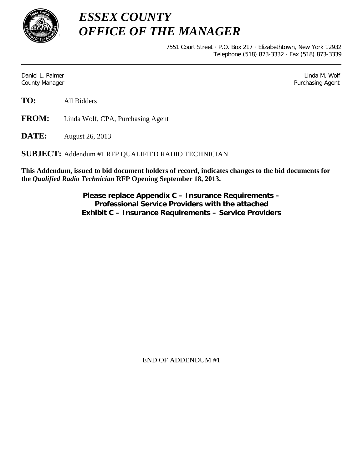

*ESSEX COUNTY OFFICE OF THE MANAGER*

> 7551 Court Street · P.O. Box 217 · Elizabethtown, New York 12932 Telephone (518) 873-3332 · Fax (518) 873-3339

Daniel L. Palmer Later and the control of the control of the control of the control of the control of the control of the control of the control of the control of the control of the control of the control of the control of County Manager Purchasing Agent

**TO:** All Bidders

**FROM:** Linda Wolf, CPA, Purchasing Agent

**DATE:** August 26, 2013

**SUBJECT:** Addendum #1 RFP QUALIFIED RADIO TECHNICIAN

**This Addendum, issued to bid document holders of record, indicates changes to the bid documents for the** *Qualified Radio Technician* **RFP Opening September 18, 2013.**

> **Please replace Appendix C – Insurance Requirements – Professional Service Providers with the attached Exhibit C – Insurance Requirements – Service Providers**

> > END OF ADDENDUM #1